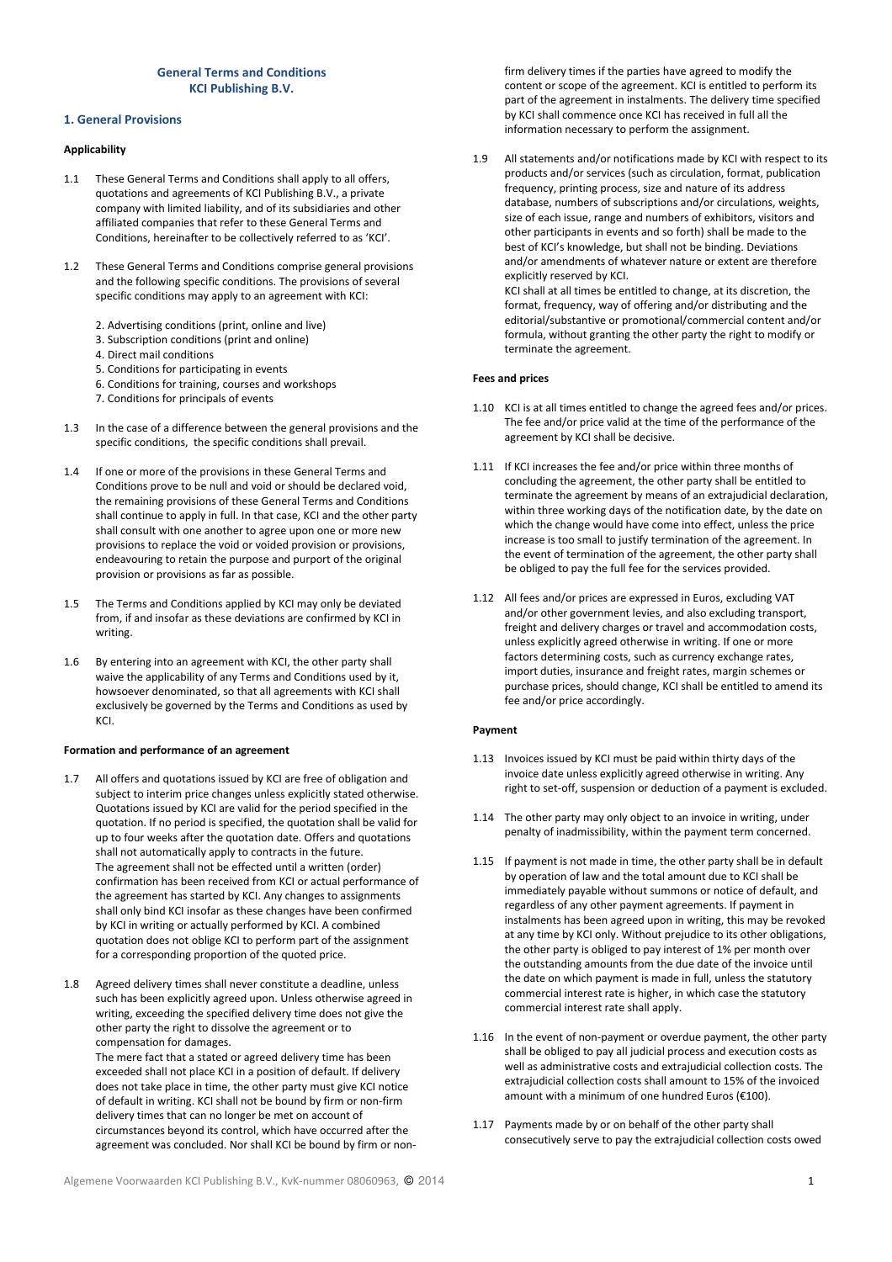# General Terms and Conditions KCI Publishing B.V.

# 1. General Provisions

# Applicability

- 1.1 These General Terms and Conditions shall apply to all offers, quotations and agreements of KCI Publishing B.V., a private company with limited liability, and of its subsidiaries and other affiliated companies that refer to these General Terms and Conditions, hereinafter to be collectively referred to as 'KCI'.
- 1.2 These General Terms and Conditions comprise general provisions and the following specific conditions. The provisions of several specific conditions may apply to an agreement with KCI:
	- 2. Advertising conditions (print, online and live)
	- 3. Subscription conditions (print and online)
	- 4. Direct mail conditions
	- 5. Conditions for participating in events
	- 6. Conditions for training, courses and workshops
	- 7. Conditions for principals of events
- 1.3 In the case of a difference between the general provisions and the specific conditions, the specific conditions shall prevail.
- 1.4 If one or more of the provisions in these General Terms and Conditions prove to be null and void or should be declared void, the remaining provisions of these General Terms and Conditions shall continue to apply in full. In that case, KCI and the other party shall consult with one another to agree upon one or more new provisions to replace the void or voided provision or provisions, endeavouring to retain the purpose and purport of the original provision or provisions as far as possible.
- 1.5 The Terms and Conditions applied by KCI may only be deviated from, if and insofar as these deviations are confirmed by KCI in writing.
- 1.6 By entering into an agreement with KCI, the other party shall waive the applicability of any Terms and Conditions used by it, howsoever denominated, so that all agreements with KCI shall exclusively be governed by the Terms and Conditions as used by KCI.

### Formation and performance of an agreement

- 1.7 All offers and quotations issued by KCI are free of obligation and subject to interim price changes unless explicitly stated otherwise. Quotations issued by KCI are valid for the period specified in the quotation. If no period is specified, the quotation shall be valid for up to four weeks after the quotation date. Offers and quotations shall not automatically apply to contracts in the future. The agreement shall not be effected until a written (order) confirmation has been received from KCI or actual performance of the agreement has started by KCI. Any changes to assignments shall only bind KCI insofar as these changes have been confirmed by KCI in writing or actually performed by KCI. A combined quotation does not oblige KCI to perform part of the assignment for a corresponding proportion of the quoted price.
- 1.8 Agreed delivery times shall never constitute a deadline, unless such has been explicitly agreed upon. Unless otherwise agreed in writing, exceeding the specified delivery time does not give the other party the right to dissolve the agreement or to compensation for damages. The mere fact that a stated or agreed delivery time has been exceeded shall not place KCI in a position of default. If delivery does not take place in time, the other party must give KCI notice of default in writing. KCI shall not be bound by firm or non-firm delivery times that can no longer be met on account of circumstances beyond its control, which have occurred after the agreement was concluded. Nor shall KCI be bound by firm or non-

firm delivery times if the parties have agreed to modify the content or scope of the agreement. KCI is entitled to perform its part of the agreement in instalments. The delivery time specified by KCI shall commence once KCI has received in full all the information necessary to perform the assignment.

1.9 All statements and/or notifications made by KCI with respect to its products and/or services (such as circulation, format, publication frequency, printing process, size and nature of its address database, numbers of subscriptions and/or circulations, weights, size of each issue, range and numbers of exhibitors, visitors and other participants in events and so forth) shall be made to the best of KCI's knowledge, but shall not be binding. Deviations and/or amendments of whatever nature or extent are therefore explicitly reserved by KCI. KCI shall at all times be entitled to change, at its discretion, the

format, frequency, way of offering and/or distributing and the editorial/substantive or promotional/commercial content and/or formula, without granting the other party the right to modify or terminate the agreement.

### Fees and prices

- 1.10 KCI is at all times entitled to change the agreed fees and/or prices. The fee and/or price valid at the time of the performance of the agreement by KCI shall be decisive.
- 1.11 If KCI increases the fee and/or price within three months of concluding the agreement, the other party shall be entitled to terminate the agreement by means of an extrajudicial declaration, within three working days of the notification date, by the date on which the change would have come into effect, unless the price increase is too small to justify termination of the agreement. In the event of termination of the agreement, the other party shall be obliged to pay the full fee for the services provided.
- 1.12 All fees and/or prices are expressed in Euros, excluding VAT and/or other government levies, and also excluding transport, freight and delivery charges or travel and accommodation costs, unless explicitly agreed otherwise in writing. If one or more factors determining costs, such as currency exchange rates, import duties, insurance and freight rates, margin schemes or purchase prices, should change, KCI shall be entitled to amend its fee and/or price accordingly.

#### Payment

- 1.13 Invoices issued by KCI must be paid within thirty days of the invoice date unless explicitly agreed otherwise in writing. Any right to set-off, suspension or deduction of a payment is excluded.
- 1.14 The other party may only object to an invoice in writing, under penalty of inadmissibility, within the payment term concerned.
- 1.15 If payment is not made in time, the other party shall be in default by operation of law and the total amount due to KCI shall be immediately payable without summons or notice of default, and regardless of any other payment agreements. If payment in instalments has been agreed upon in writing, this may be revoked at any time by KCI only. Without prejudice to its other obligations, the other party is obliged to pay interest of 1% per month over the outstanding amounts from the due date of the invoice until the date on which payment is made in full, unless the statutory commercial interest rate is higher, in which case the statutory commercial interest rate shall apply.
- 1.16 In the event of non-payment or overdue payment, the other party shall be obliged to pay all judicial process and execution costs as well as administrative costs and extrajudicial collection costs. The extrajudicial collection costs shall amount to 15% of the invoiced amount with a minimum of one hundred Euros (€100).
- 1.17 Payments made by or on behalf of the other party shall consecutively serve to pay the extrajudicial collection costs owed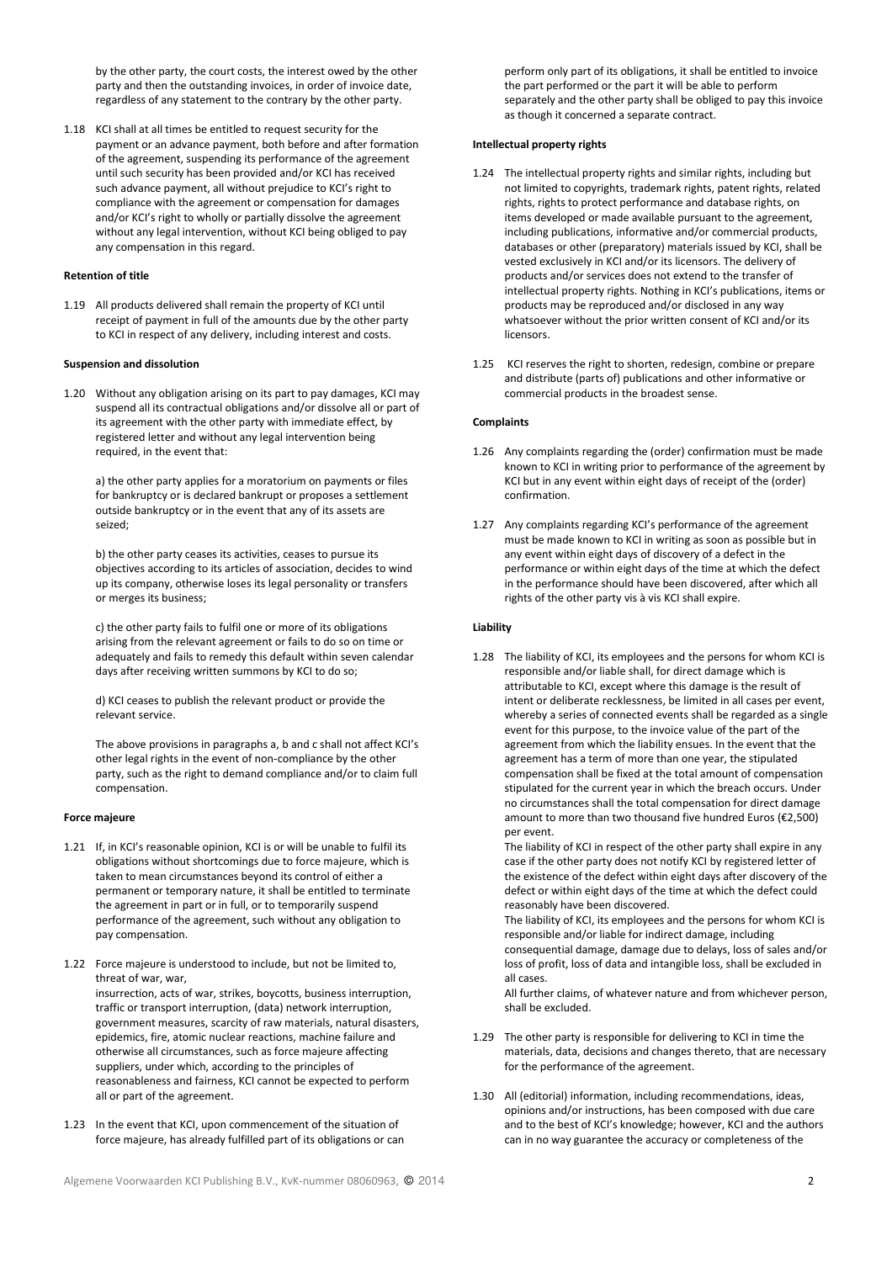by the other party, the court costs, the interest owed by the other party and then the outstanding invoices, in order of invoice date, regardless of any statement to the contrary by the other party.

1.18 KCI shall at all times be entitled to request security for the payment or an advance payment, both before and after formation of the agreement, suspending its performance of the agreement until such security has been provided and/or KCI has received such advance payment, all without prejudice to KCI's right to compliance with the agreement or compensation for damages and/or KCI's right to wholly or partially dissolve the agreement without any legal intervention, without KCI being obliged to pay any compensation in this regard.

## Retention of title

1.19 All products delivered shall remain the property of KCI until receipt of payment in full of the amounts due by the other party to KCI in respect of any delivery, including interest and costs.

#### Suspension and dissolution

1.20 Without any obligation arising on its part to pay damages, KCI may suspend all its contractual obligations and/or dissolve all or part of its agreement with the other party with immediate effect, by registered letter and without any legal intervention being required, in the event that:

a) the other party applies for a moratorium on payments or files for bankruptcy or is declared bankrupt or proposes a settlement outside bankruptcy or in the event that any of its assets are seized;

b) the other party ceases its activities, ceases to pursue its objectives according to its articles of association, decides to wind up its company, otherwise loses its legal personality or transfers or merges its business;

c) the other party fails to fulfil one or more of its obligations arising from the relevant agreement or fails to do so on time or adequately and fails to remedy this default within seven calendar days after receiving written summons by KCI to do so;

d) KCI ceases to publish the relevant product or provide the relevant service.

The above provisions in paragraphs a, b and c shall not affect KCI's other legal rights in the event of non-compliance by the other party, such as the right to demand compliance and/or to claim full compensation.

## Force majeure

- 1.21 If, in KCI's reasonable opinion, KCI is or will be unable to fulfil its obligations without shortcomings due to force majeure, which is taken to mean circumstances beyond its control of either a permanent or temporary nature, it shall be entitled to terminate the agreement in part or in full, or to temporarily suspend performance of the agreement, such without any obligation to pay compensation.
- 1.22 Force majeure is understood to include, but not be limited to, threat of war, war, insurrection, acts of war, strikes, boycotts, business interruption, traffic or transport interruption, (data) network interruption, government measures, scarcity of raw materials, natural disasters, epidemics, fire, atomic nuclear reactions, machine failure and otherwise all circumstances, such as force majeure affecting suppliers, under which, according to the principles of reasonableness and fairness, KCI cannot be expected to perform all or part of the agreement.
- 1.23 In the event that KCI, upon commencement of the situation of force majeure, has already fulfilled part of its obligations or can

perform only part of its obligations, it shall be entitled to invoice the part performed or the part it will be able to perform separately and the other party shall be obliged to pay this invoice as though it concerned a separate contract.

### Intellectual property rights

- 1.24 The intellectual property rights and similar rights, including but not limited to copyrights, trademark rights, patent rights, related rights, rights to protect performance and database rights, on items developed or made available pursuant to the agreement, including publications, informative and/or commercial products, databases or other (preparatory) materials issued by KCI, shall be vested exclusively in KCI and/or its licensors. The delivery of products and/or services does not extend to the transfer of intellectual property rights. Nothing in KCI's publications, items or products may be reproduced and/or disclosed in any way whatsoever without the prior written consent of KCI and/or its licensors.
- 1.25 KCI reserves the right to shorten, redesign, combine or prepare and distribute (parts of) publications and other informative or commercial products in the broadest sense.

# **Complaints**

- 1.26 Any complaints regarding the (order) confirmation must be made known to KCI in writing prior to performance of the agreement by KCI but in any event within eight days of receipt of the (order) confirmation.
- 1.27 Any complaints regarding KCI's performance of the agreement must be made known to KCI in writing as soon as possible but in any event within eight days of discovery of a defect in the performance or within eight days of the time at which the defect in the performance should have been discovered, after which all rights of the other party vis à vis KCI shall expire.

# Liability

1.28 The liability of KCI, its employees and the persons for whom KCI is responsible and/or liable shall, for direct damage which is attributable to KCI, except where this damage is the result of intent or deliberate recklessness, be limited in all cases per event, whereby a series of connected events shall be regarded as a single event for this purpose, to the invoice value of the part of the agreement from which the liability ensues. In the event that the agreement has a term of more than one year, the stipulated compensation shall be fixed at the total amount of compensation stipulated for the current year in which the breach occurs. Under no circumstances shall the total compensation for direct damage amount to more than two thousand five hundred Euros (€2,500) per event.

The liability of KCI in respect of the other party shall expire in any case if the other party does not notify KCI by registered letter of the existence of the defect within eight days after discovery of the defect or within eight days of the time at which the defect could reasonably have been discovered.

The liability of KCI, its employees and the persons for whom KCI is responsible and/or liable for indirect damage, including consequential damage, damage due to delays, loss of sales and/or loss of profit, loss of data and intangible loss, shall be excluded in all cases.

All further claims, of whatever nature and from whichever person, shall be excluded.

- 1.29 The other party is responsible for delivering to KCI in time the materials, data, decisions and changes thereto, that are necessary for the performance of the agreement.
- 1.30 All (editorial) information, including recommendations, ideas, opinions and/or instructions, has been composed with due care and to the best of KCI's knowledge; however, KCI and the authors can in no way guarantee the accuracy or completeness of the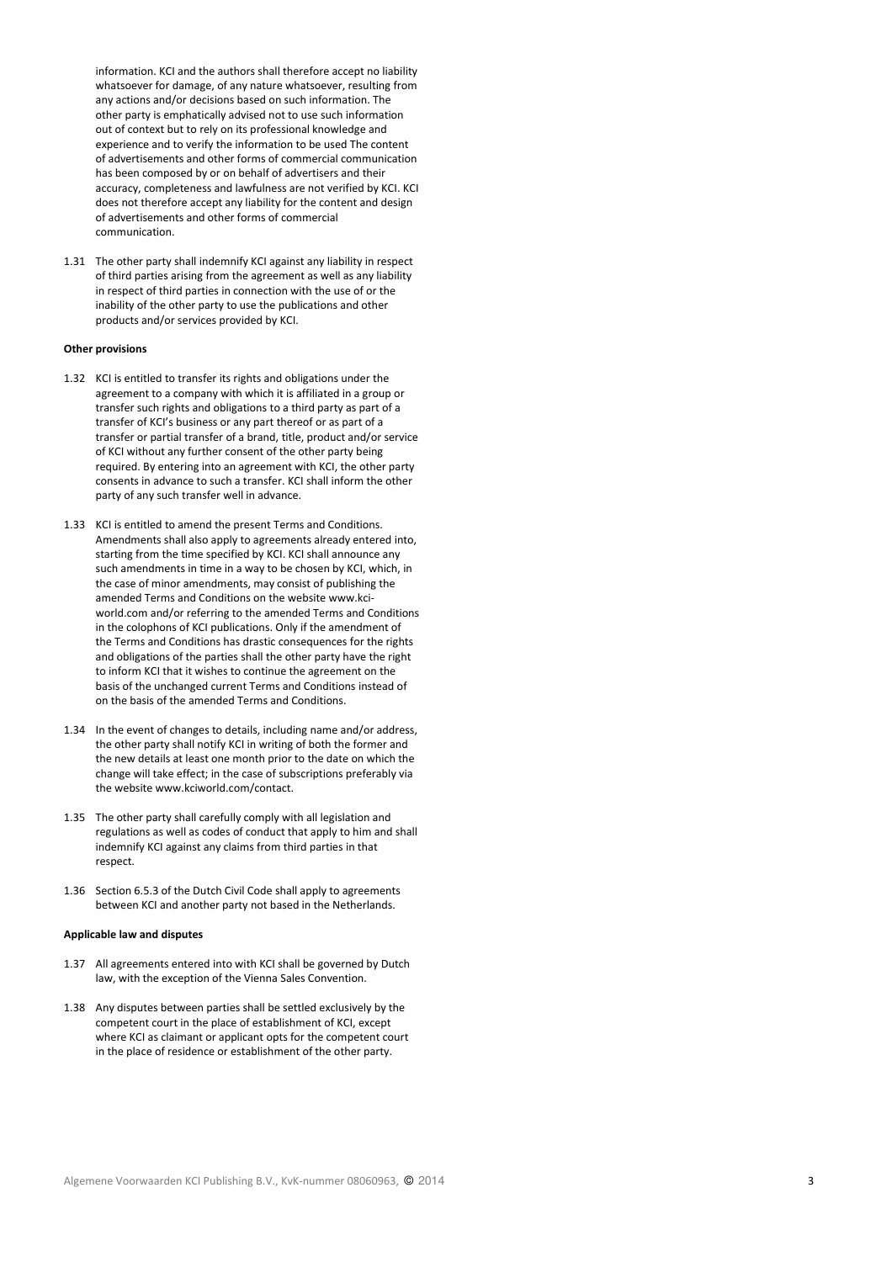information. KCI and the authors shall therefore accept no liability whatsoever for damage, of any nature whatsoever, resulting from any actions and/or decisions based on such information. The other party is emphatically advised not to use such information out of context but to rely on its professional knowledge and experience and to verify the information to be used The content of advertisements and other forms of commercial communication has been composed by or on behalf of advertisers and their accuracy, completeness and lawfulness are not verified by KCI. KCI does not therefore accept any liability for the content and design of advertisements and other forms of commercial communication.

1.31 The other party shall indemnify KCI against any liability in respect of third parties arising from the agreement as well as any liability in respect of third parties in connection with the use of or the inability of the other party to use the publications and other products and/or services provided by KCI.

## Other provisions

- 1.32 KCI is entitled to transfer its rights and obligations under the agreement to a company with which it is affiliated in a group or transfer such rights and obligations to a third party as part of a transfer of KCI's business or any part thereof or as part of a transfer or partial transfer of a brand, title, product and/or service of KCI without any further consent of the other party being required. By entering into an agreement with KCI, the other party consents in advance to such a transfer. KCI shall inform the other party of any such transfer well in advance.
- 1.33 KCI is entitled to amend the present Terms and Conditions. Amendments shall also apply to agreements already entered into, starting from the time specified by KCI. KCI shall announce any such amendments in time in a way to be chosen by KCI, which, in the case of minor amendments, may consist of publishing the amended Terms and Conditions on the website www.kciworld.com and/or referring to the amended Terms and Conditions in the colophons of KCI publications. Only if the amendment of the Terms and Conditions has drastic consequences for the rights and obligations of the parties shall the other party have the right to inform KCI that it wishes to continue the agreement on the basis of the unchanged current Terms and Conditions instead of on the basis of the amended Terms and Conditions.
- 1.34 In the event of changes to details, including name and/or address, the other party shall notify KCI in writing of both the former and the new details at least one month prior to the date on which the change will take effect; in the case of subscriptions preferably via the website www.kciworld.com/contact.
- 1.35 The other party shall carefully comply with all legislation and regulations as well as codes of conduct that apply to him and shall indemnify KCI against any claims from third parties in that respect.
- 1.36 Section 6.5.3 of the Dutch Civil Code shall apply to agreements between KCI and another party not based in the Netherlands.

### Applicable law and disputes

- 1.37 All agreements entered into with KCI shall be governed by Dutch law, with the exception of the Vienna Sales Convention.
- 1.38 Any disputes between parties shall be settled exclusively by the competent court in the place of establishment of KCI, except where KCI as claimant or applicant opts for the competent court in the place of residence or establishment of the other party.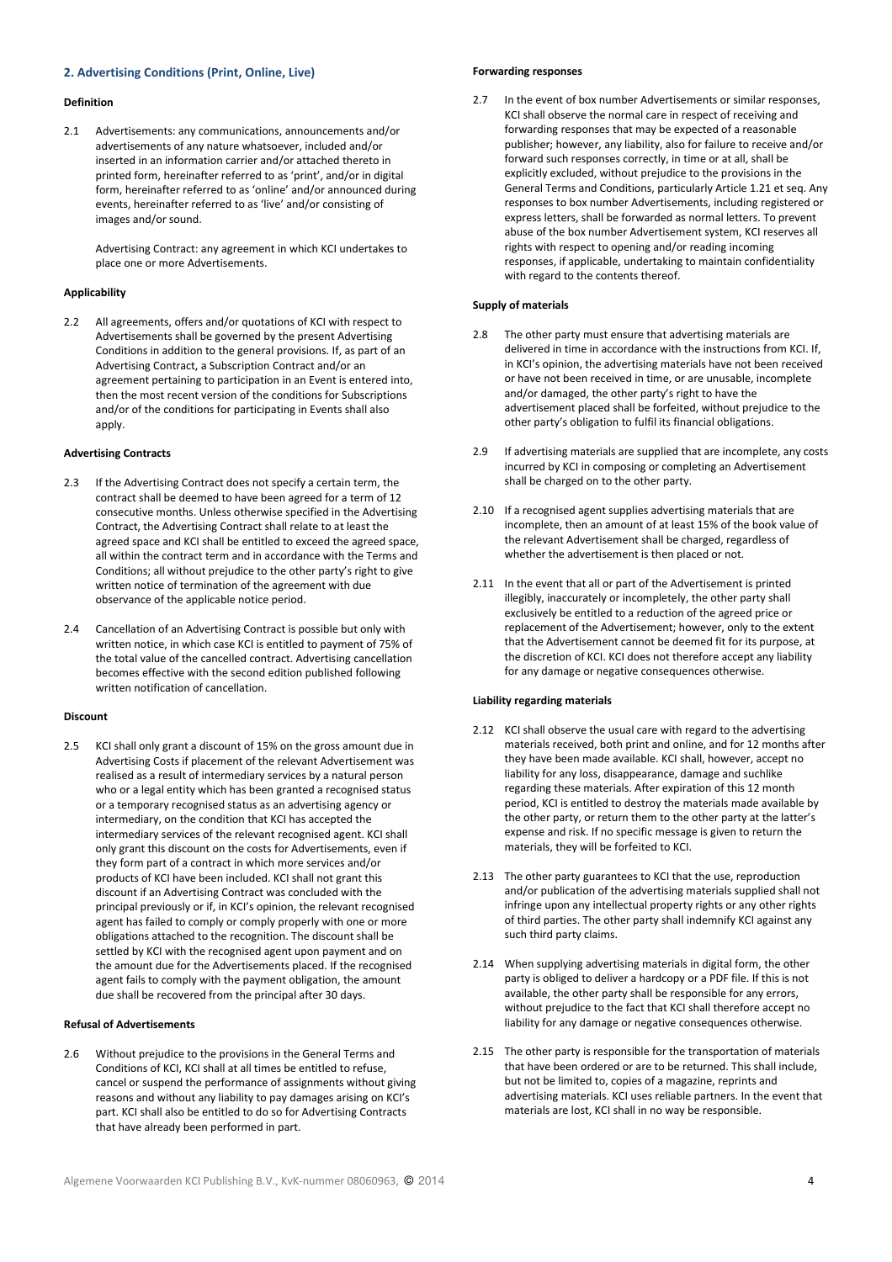# 2. Advertising Conditions (Print, Online, Live)

### Definition

2.1 Advertisements: any communications, announcements and/or advertisements of any nature whatsoever, included and/or inserted in an information carrier and/or attached thereto in printed form, hereinafter referred to as 'print', and/or in digital form, hereinafter referred to as 'online' and/or announced during events, hereinafter referred to as 'live' and/or consisting of images and/or sound.

Advertising Contract: any agreement in which KCI undertakes to place one or more Advertisements.

## Applicability

2.2 All agreements, offers and/or quotations of KCI with respect to Advertisements shall be governed by the present Advertising Conditions in addition to the general provisions. If, as part of an Advertising Contract, a Subscription Contract and/or an agreement pertaining to participation in an Event is entered into, then the most recent version of the conditions for Subscriptions and/or of the conditions for participating in Events shall also apply.

## Advertising Contracts

- 2.3 If the Advertising Contract does not specify a certain term, the contract shall be deemed to have been agreed for a term of 12 consecutive months. Unless otherwise specified in the Advertising Contract, the Advertising Contract shall relate to at least the agreed space and KCI shall be entitled to exceed the agreed space, all within the contract term and in accordance with the Terms and Conditions; all without prejudice to the other party's right to give written notice of termination of the agreement with due observance of the applicable notice period.
- 2.4 Cancellation of an Advertising Contract is possible but only with written notice, in which case KCI is entitled to payment of 75% of the total value of the cancelled contract. Advertising cancellation becomes effective with the second edition published following written notification of cancellation.

# Discount

2.5 KCI shall only grant a discount of 15% on the gross amount due in Advertising Costs if placement of the relevant Advertisement was realised as a result of intermediary services by a natural person who or a legal entity which has been granted a recognised status or a temporary recognised status as an advertising agency or intermediary, on the condition that KCI has accepted the intermediary services of the relevant recognised agent. KCI shall only grant this discount on the costs for Advertisements, even if they form part of a contract in which more services and/or products of KCI have been included. KCI shall not grant this discount if an Advertising Contract was concluded with the principal previously or if, in KCI's opinion, the relevant recognised agent has failed to comply or comply properly with one or more obligations attached to the recognition. The discount shall be settled by KCI with the recognised agent upon payment and on the amount due for the Advertisements placed. If the recognised agent fails to comply with the payment obligation, the amount due shall be recovered from the principal after 30 days.

#### Refusal of Advertisements

2.6 Without prejudice to the provisions in the General Terms and Conditions of KCI, KCI shall at all times be entitled to refuse, cancel or suspend the performance of assignments without giving reasons and without any liability to pay damages arising on KCI's part. KCI shall also be entitled to do so for Advertising Contracts that have already been performed in part.

# Forwarding responses

2.7 In the event of box number Advertisements or similar responses, KCI shall observe the normal care in respect of receiving and forwarding responses that may be expected of a reasonable publisher; however, any liability, also for failure to receive and/or forward such responses correctly, in time or at all, shall be explicitly excluded, without prejudice to the provisions in the General Terms and Conditions, particularly Article 1.21 et seq. Any responses to box number Advertisements, including registered or express letters, shall be forwarded as normal letters. To prevent abuse of the box number Advertisement system, KCI reserves all rights with respect to opening and/or reading incoming responses, if applicable, undertaking to maintain confidentiality with regard to the contents thereof.

## Supply of materials

- 2.8 The other party must ensure that advertising materials are delivered in time in accordance with the instructions from KCI. If, in KCI's opinion, the advertising materials have not been received or have not been received in time, or are unusable, incomplete and/or damaged, the other party's right to have the advertisement placed shall be forfeited, without prejudice to the other party's obligation to fulfil its financial obligations.
- 2.9 If advertising materials are supplied that are incomplete, any costs incurred by KCI in composing or completing an Advertisement shall be charged on to the other party.
- 2.10 If a recognised agent supplies advertising materials that are incomplete, then an amount of at least 15% of the book value of the relevant Advertisement shall be charged, regardless of whether the advertisement is then placed or not.
- 2.11 In the event that all or part of the Advertisement is printed illegibly, inaccurately or incompletely, the other party shall exclusively be entitled to a reduction of the agreed price or replacement of the Advertisement; however, only to the extent that the Advertisement cannot be deemed fit for its purpose, at the discretion of KCI. KCI does not therefore accept any liability for any damage or negative consequences otherwise.

# Liability regarding materials

- 2.12 KCI shall observe the usual care with regard to the advertising materials received, both print and online, and for 12 months after they have been made available. KCI shall, however, accept no liability for any loss, disappearance, damage and suchlike regarding these materials. After expiration of this 12 month period, KCI is entitled to destroy the materials made available by the other party, or return them to the other party at the latter's expense and risk. If no specific message is given to return the materials, they will be forfeited to KCI.
- 2.13 The other party guarantees to KCI that the use, reproduction and/or publication of the advertising materials supplied shall not infringe upon any intellectual property rights or any other rights of third parties. The other party shall indemnify KCI against any such third party claims.
- 2.14 When supplying advertising materials in digital form, the other party is obliged to deliver a hardcopy or a PDF file. If this is not available, the other party shall be responsible for any errors, without prejudice to the fact that KCI shall therefore accept no liability for any damage or negative consequences otherwise.
- 2.15 The other party is responsible for the transportation of materials that have been ordered or are to be returned. This shall include, but not be limited to, copies of a magazine, reprints and advertising materials. KCI uses reliable partners. In the event that materials are lost, KCI shall in no way be responsible.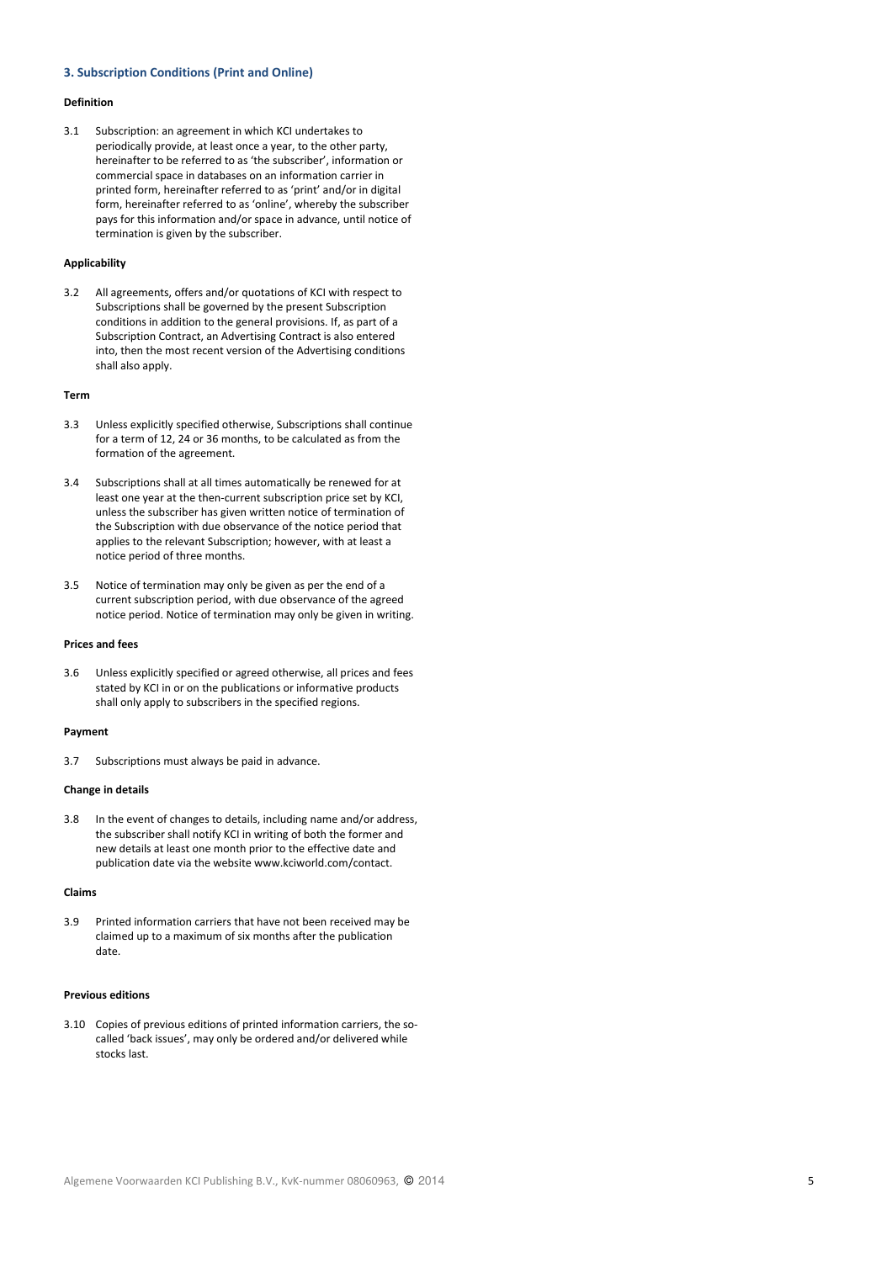# 3. Subscription Conditions (Print and Online)

#### Definition

3.1 Subscription: an agreement in which KCI undertakes to periodically provide, at least once a year, to the other party, hereinafter to be referred to as 'the subscriber', information or commercial space in databases on an information carrier in printed form, hereinafter referred to as 'print' and/or in digital form, hereinafter referred to as 'online', whereby the subscriber pays for this information and/or space in advance, until notice of termination is given by the subscriber.

# Applicability

3.2 All agreements, offers and/or quotations of KCI with respect to Subscriptions shall be governed by the present Subscription conditions in addition to the general provisions. If, as part of a Subscription Contract, an Advertising Contract is also entered into, then the most recent version of the Advertising conditions shall also apply.

#### Term

- 3.3 Unless explicitly specified otherwise, Subscriptions shall continue for a term of 12, 24 or 36 months, to be calculated as from the formation of the agreement.
- 3.4 Subscriptions shall at all times automatically be renewed for at least one year at the then-current subscription price set by KCI, unless the subscriber has given written notice of termination of the Subscription with due observance of the notice period that applies to the relevant Subscription; however, with at least a notice period of three months.
- 3.5 Notice of termination may only be given as per the end of a current subscription period, with due observance of the agreed notice period. Notice of termination may only be given in writing.

## Prices and fees

3.6 Unless explicitly specified or agreed otherwise, all prices and fees stated by KCI in or on the publications or informative products shall only apply to subscribers in the specified regions.

### Payment

3.7 Subscriptions must always be paid in advance.

# Change in details

3.8 In the event of changes to details, including name and/or address, the subscriber shall notify KCI in writing of both the former and new details at least one month prior to the effective date and publication date via the website www.kciworld.com/contact.

# Claims

3.9 Printed information carriers that have not been received may be claimed up to a maximum of six months after the publication date.

#### Previous editions

3.10 Copies of previous editions of printed information carriers, the socalled 'back issues', may only be ordered and/or delivered while stocks last.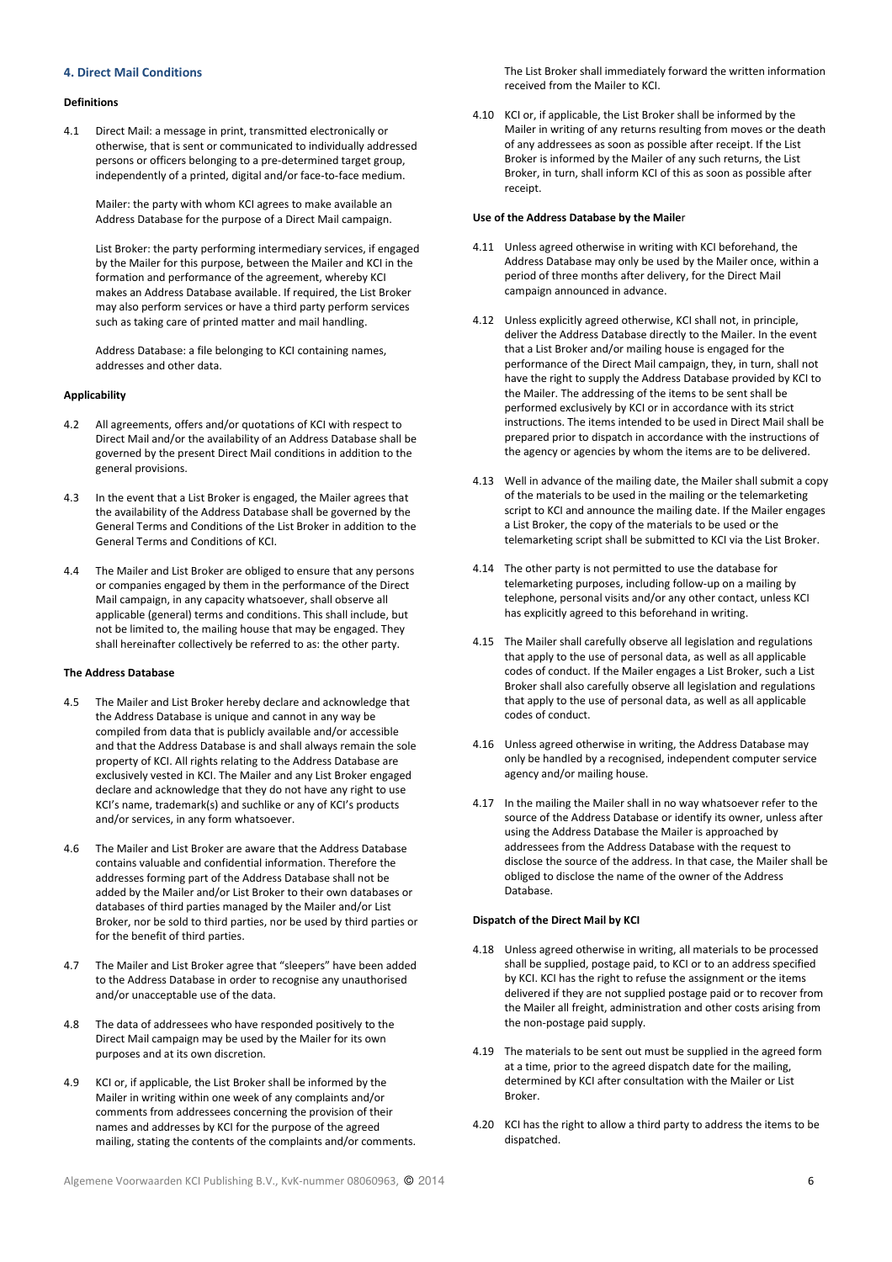# 4. Direct Mail Conditions

#### Definitions

4.1 Direct Mail: a message in print, transmitted electronically or otherwise, that is sent or communicated to individually addressed persons or officers belonging to a pre-determined target group, independently of a printed, digital and/or face-to-face medium.

Mailer: the party with whom KCI agrees to make available an Address Database for the purpose of a Direct Mail campaign.

List Broker: the party performing intermediary services, if engaged by the Mailer for this purpose, between the Mailer and KCI in the formation and performance of the agreement, whereby KCI makes an Address Database available. If required, the List Broker may also perform services or have a third party perform services such as taking care of printed matter and mail handling.

Address Database: a file belonging to KCI containing names, addresses and other data.

#### Applicability

- 4.2 All agreements, offers and/or quotations of KCI with respect to Direct Mail and/or the availability of an Address Database shall be governed by the present Direct Mail conditions in addition to the general provisions.
- 4.3 In the event that a List Broker is engaged, the Mailer agrees that the availability of the Address Database shall be governed by the General Terms and Conditions of the List Broker in addition to the General Terms and Conditions of KCI.
- 4.4 The Mailer and List Broker are obliged to ensure that any persons or companies engaged by them in the performance of the Direct Mail campaign, in any capacity whatsoever, shall observe all applicable (general) terms and conditions. This shall include, but not be limited to, the mailing house that may be engaged. They shall hereinafter collectively be referred to as: the other party.

### The Address Database

- 4.5 The Mailer and List Broker hereby declare and acknowledge that the Address Database is unique and cannot in any way be compiled from data that is publicly available and/or accessible and that the Address Database is and shall always remain the sole property of KCI. All rights relating to the Address Database are exclusively vested in KCI. The Mailer and any List Broker engaged declare and acknowledge that they do not have any right to use KCI's name, trademark(s) and suchlike or any of KCI's products and/or services, in any form whatsoever.
- 4.6 The Mailer and List Broker are aware that the Address Database contains valuable and confidential information. Therefore the addresses forming part of the Address Database shall not be added by the Mailer and/or List Broker to their own databases or databases of third parties managed by the Mailer and/or List Broker, nor be sold to third parties, nor be used by third parties or for the benefit of third parties.
- 4.7 The Mailer and List Broker agree that "sleepers" have been added to the Address Database in order to recognise any unauthorised and/or unacceptable use of the data.
- 4.8 The data of addressees who have responded positively to the Direct Mail campaign may be used by the Mailer for its own purposes and at its own discretion.
- 4.9 KCI or, if applicable, the List Broker shall be informed by the Mailer in writing within one week of any complaints and/or comments from addressees concerning the provision of their names and addresses by KCI for the purpose of the agreed mailing, stating the contents of the complaints and/or comments.

The List Broker shall immediately forward the written information received from the Mailer to KCI.

4.10 KCI or, if applicable, the List Broker shall be informed by the Mailer in writing of any returns resulting from moves or the death of any addressees as soon as possible after receipt. If the List Broker is informed by the Mailer of any such returns, the List Broker, in turn, shall inform KCI of this as soon as possible after receipt.

#### Use of the Address Database by the Mailer

- 4.11 Unless agreed otherwise in writing with KCI beforehand, the Address Database may only be used by the Mailer once, within a period of three months after delivery, for the Direct Mail campaign announced in advance.
- 4.12 Unless explicitly agreed otherwise, KCI shall not, in principle, deliver the Address Database directly to the Mailer. In the event that a List Broker and/or mailing house is engaged for the performance of the Direct Mail campaign, they, in turn, shall not have the right to supply the Address Database provided by KCI to the Mailer. The addressing of the items to be sent shall be performed exclusively by KCI or in accordance with its strict instructions. The items intended to be used in Direct Mail shall be prepared prior to dispatch in accordance with the instructions of the agency or agencies by whom the items are to be delivered.
- 4.13 Well in advance of the mailing date, the Mailer shall submit a copy of the materials to be used in the mailing or the telemarketing script to KCI and announce the mailing date. If the Mailer engages a List Broker, the copy of the materials to be used or the telemarketing script shall be submitted to KCI via the List Broker.
- 4.14 The other party is not permitted to use the database for telemarketing purposes, including follow-up on a mailing by telephone, personal visits and/or any other contact, unless KCI has explicitly agreed to this beforehand in writing.
- 4.15 The Mailer shall carefully observe all legislation and regulations that apply to the use of personal data, as well as all applicable codes of conduct. If the Mailer engages a List Broker, such a List Broker shall also carefully observe all legislation and regulations that apply to the use of personal data, as well as all applicable codes of conduct.
- 4.16 Unless agreed otherwise in writing, the Address Database may only be handled by a recognised, independent computer service agency and/or mailing house.
- 4.17 In the mailing the Mailer shall in no way whatsoever refer to the source of the Address Database or identify its owner, unless after using the Address Database the Mailer is approached by addressees from the Address Database with the request to disclose the source of the address. In that case, the Mailer shall be obliged to disclose the name of the owner of the Address Database.

## Dispatch of the Direct Mail by KCI

- 4.18 Unless agreed otherwise in writing, all materials to be processed shall be supplied, postage paid, to KCI or to an address specified by KCI. KCI has the right to refuse the assignment or the items delivered if they are not supplied postage paid or to recover from the Mailer all freight, administration and other costs arising from the non-postage paid supply.
- 4.19 The materials to be sent out must be supplied in the agreed form at a time, prior to the agreed dispatch date for the mailing, determined by KCI after consultation with the Mailer or List Broker.
- 4.20 KCI has the right to allow a third party to address the items to be dispatched.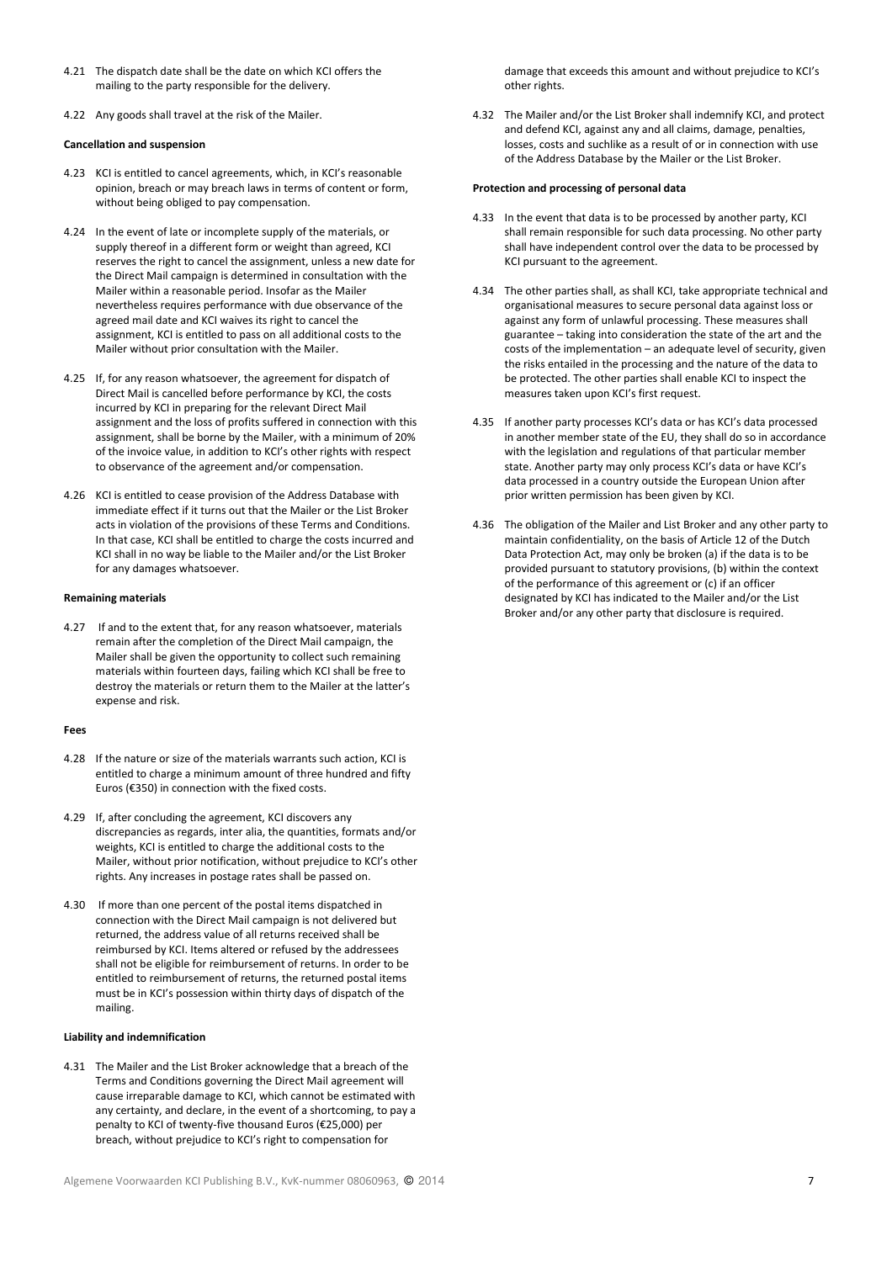- 4.21 The dispatch date shall be the date on which KCI offers the mailing to the party responsible for the delivery.
- 4.22 Any goods shall travel at the risk of the Mailer.

# Cancellation and suspension

- 4.23 KCI is entitled to cancel agreements, which, in KCI's reasonable opinion, breach or may breach laws in terms of content or form, without being obliged to pay compensation.
- 4.24 In the event of late or incomplete supply of the materials, or supply thereof in a different form or weight than agreed, KCI reserves the right to cancel the assignment, unless a new date for the Direct Mail campaign is determined in consultation with the Mailer within a reasonable period. Insofar as the Mailer nevertheless requires performance with due observance of the agreed mail date and KCI waives its right to cancel the assignment, KCI is entitled to pass on all additional costs to the Mailer without prior consultation with the Mailer.
- 4.25 If, for any reason whatsoever, the agreement for dispatch of Direct Mail is cancelled before performance by KCI, the costs incurred by KCI in preparing for the relevant Direct Mail assignment and the loss of profits suffered in connection with this assignment, shall be borne by the Mailer, with a minimum of 20% of the invoice value, in addition to KCI's other rights with respect to observance of the agreement and/or compensation.
- 4.26 KCI is entitled to cease provision of the Address Database with immediate effect if it turns out that the Mailer or the List Broker acts in violation of the provisions of these Terms and Conditions. In that case, KCI shall be entitled to charge the costs incurred and KCI shall in no way be liable to the Mailer and/or the List Broker for any damages whatsoever.

# Remaining materials

4.27 If and to the extent that, for any reason whatsoever, materials remain after the completion of the Direct Mail campaign, the Mailer shall be given the opportunity to collect such remaining materials within fourteen days, failing which KCI shall be free to destroy the materials or return them to the Mailer at the latter's expense and risk.

#### Fees

- 4.28 If the nature or size of the materials warrants such action, KCI is entitled to charge a minimum amount of three hundred and fifty Euros (€350) in connection with the fixed costs.
- 4.29 If, after concluding the agreement, KCI discovers any discrepancies as regards, inter alia, the quantities, formats and/or weights, KCI is entitled to charge the additional costs to the Mailer, without prior notification, without prejudice to KCI's other rights. Any increases in postage rates shall be passed on.
- 4.30 If more than one percent of the postal items dispatched in connection with the Direct Mail campaign is not delivered but returned, the address value of all returns received shall be reimbursed by KCI. Items altered or refused by the addressees shall not be eligible for reimbursement of returns. In order to be entitled to reimbursement of returns, the returned postal items must be in KCI's possession within thirty days of dispatch of the mailing.

### Liability and indemnification

4.31 The Mailer and the List Broker acknowledge that a breach of the Terms and Conditions governing the Direct Mail agreement will cause irreparable damage to KCI, which cannot be estimated with any certainty, and declare, in the event of a shortcoming, to pay a penalty to KCI of twenty-five thousand Euros (€25,000) per breach, without prejudice to KCI's right to compensation for

damage that exceeds this amount and without prejudice to KCI's other rights.

4.32 The Mailer and/or the List Broker shall indemnify KCI, and protect and defend KCI, against any and all claims, damage, penalties, losses, costs and suchlike as a result of or in connection with use of the Address Database by the Mailer or the List Broker.

# Protection and processing of personal data

- 4.33 In the event that data is to be processed by another party, KCI shall remain responsible for such data processing. No other party shall have independent control over the data to be processed by KCI pursuant to the agreement.
- 4.34 The other parties shall, as shall KCI, take appropriate technical and organisational measures to secure personal data against loss or against any form of unlawful processing. These measures shall guarantee – taking into consideration the state of the art and the costs of the implementation – an adequate level of security, given the risks entailed in the processing and the nature of the data to be protected. The other parties shall enable KCI to inspect the measures taken upon KCI's first request.
- 4.35 If another party processes KCI's data or has KCI's data processed in another member state of the EU, they shall do so in accordance with the legislation and regulations of that particular member state. Another party may only process KCI's data or have KCI's data processed in a country outside the European Union after prior written permission has been given by KCI.
- 4.36 The obligation of the Mailer and List Broker and any other party to maintain confidentiality, on the basis of Article 12 of the Dutch Data Protection Act, may only be broken (a) if the data is to be provided pursuant to statutory provisions, (b) within the context of the performance of this agreement or (c) if an officer designated by KCI has indicated to the Mailer and/or the List Broker and/or any other party that disclosure is required.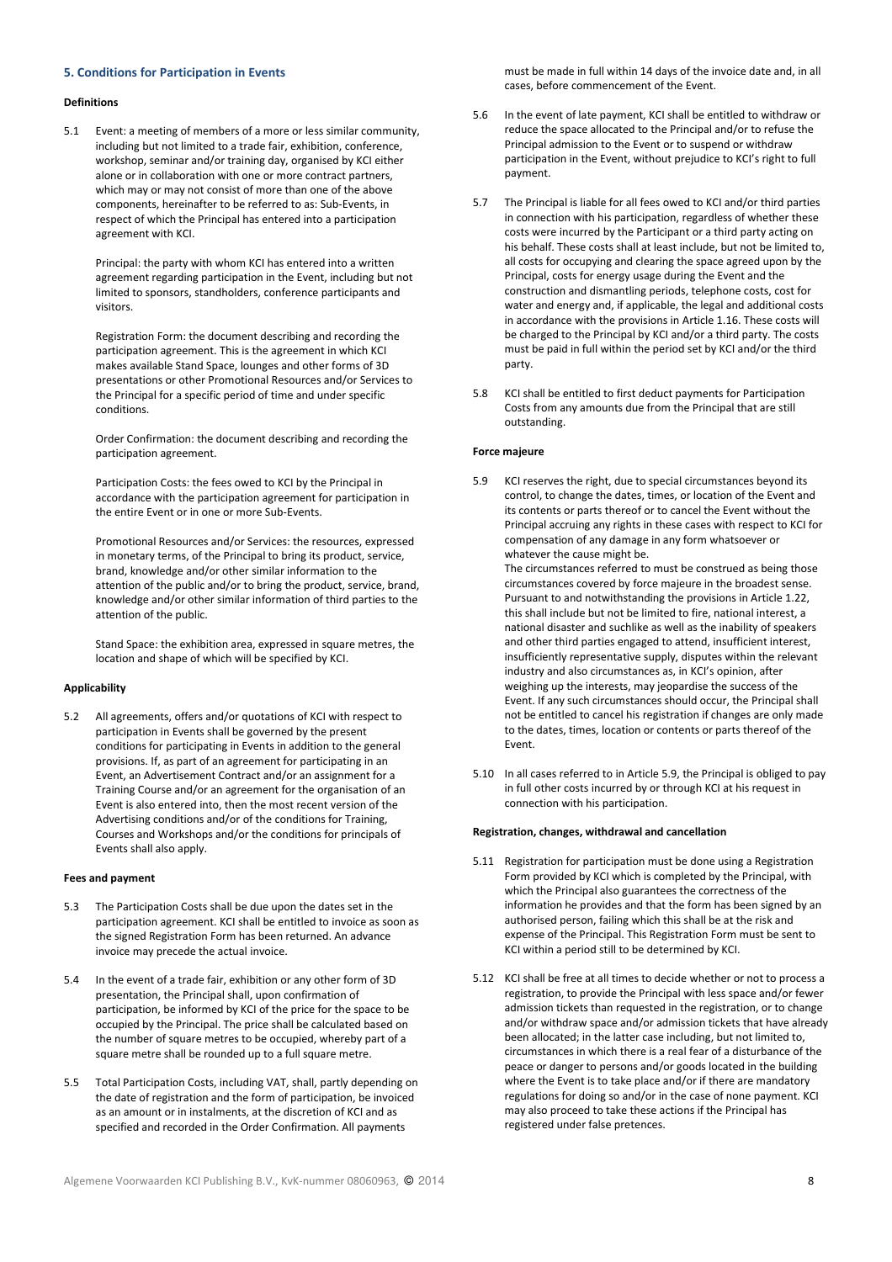# 5. Conditions for Participation in Events

#### Definitions

5.1 Event: a meeting of members of a more or less similar community, including but not limited to a trade fair, exhibition, conference, workshop, seminar and/or training day, organised by KCI either alone or in collaboration with one or more contract partners, which may or may not consist of more than one of the above components, hereinafter to be referred to as: Sub-Events, in respect of which the Principal has entered into a participation agreement with KCI.

Principal: the party with whom KCI has entered into a written agreement regarding participation in the Event, including but not limited to sponsors, standholders, conference participants and visitors.

Registration Form: the document describing and recording the participation agreement. This is the agreement in which KCI makes available Stand Space, lounges and other forms of 3D presentations or other Promotional Resources and/or Services to the Principal for a specific period of time and under specific conditions.

Order Confirmation: the document describing and recording the participation agreement.

Participation Costs: the fees owed to KCI by the Principal in accordance with the participation agreement for participation in the entire Event or in one or more Sub-Events.

Promotional Resources and/or Services: the resources, expressed in monetary terms, of the Principal to bring its product, service, brand, knowledge and/or other similar information to the attention of the public and/or to bring the product, service, brand, knowledge and/or other similar information of third parties to the attention of the public.

Stand Space: the exhibition area, expressed in square metres, the location and shape of which will be specified by KCI.

# Applicability

5.2 All agreements, offers and/or quotations of KCI with respect to participation in Events shall be governed by the present conditions for participating in Events in addition to the general provisions. If, as part of an agreement for participating in an Event, an Advertisement Contract and/or an assignment for a Training Course and/or an agreement for the organisation of an Event is also entered into, then the most recent version of the Advertising conditions and/or of the conditions for Training, Courses and Workshops and/or the conditions for principals of Events shall also apply.

# Fees and payment

- 5.3 The Participation Costs shall be due upon the dates set in the participation agreement. KCI shall be entitled to invoice as soon as the signed Registration Form has been returned. An advance invoice may precede the actual invoice.
- 5.4 In the event of a trade fair, exhibition or any other form of 3D presentation, the Principal shall, upon confirmation of participation, be informed by KCI of the price for the space to be occupied by the Principal. The price shall be calculated based on the number of square metres to be occupied, whereby part of a square metre shall be rounded up to a full square metre.
- 5.5 Total Participation Costs, including VAT, shall, partly depending on the date of registration and the form of participation, be invoiced as an amount or in instalments, at the discretion of KCI and as specified and recorded in the Order Confirmation. All payments

must be made in full within 14 days of the invoice date and, in all cases, before commencement of the Event.

- 5.6 In the event of late payment, KCI shall be entitled to withdraw or reduce the space allocated to the Principal and/or to refuse the Principal admission to the Event or to suspend or withdraw participation in the Event, without prejudice to KCI's right to full payment.
- 5.7 The Principal is liable for all fees owed to KCI and/or third parties in connection with his participation, regardless of whether these costs were incurred by the Participant or a third party acting on his behalf. These costs shall at least include, but not be limited to, all costs for occupying and clearing the space agreed upon by the Principal, costs for energy usage during the Event and the construction and dismantling periods, telephone costs, cost for water and energy and, if applicable, the legal and additional costs in accordance with the provisions in Article 1.16. These costs will be charged to the Principal by KCI and/or a third party. The costs must be paid in full within the period set by KCI and/or the third party.
- 5.8 KCI shall be entitled to first deduct payments for Participation Costs from any amounts due from the Principal that are still outstanding.

#### Force majeure

5.9 KCI reserves the right, due to special circumstances beyond its control, to change the dates, times, or location of the Event and its contents or parts thereof or to cancel the Event without the Principal accruing any rights in these cases with respect to KCI for compensation of any damage in any form whatsoever or whatever the cause might be.

The circumstances referred to must be construed as being those circumstances covered by force majeure in the broadest sense. Pursuant to and notwithstanding the provisions in Article 1.22, this shall include but not be limited to fire, national interest, a national disaster and suchlike as well as the inability of speakers and other third parties engaged to attend, insufficient interest, insufficiently representative supply, disputes within the relevant industry and also circumstances as, in KCI's opinion, after weighing up the interests, may jeopardise the success of the Event. If any such circumstances should occur, the Principal shall not be entitled to cancel his registration if changes are only made to the dates, times, location or contents or parts thereof of the Event.

5.10 In all cases referred to in Article 5.9, the Principal is obliged to pay in full other costs incurred by or through KCI at his request in connection with his participation.

# Registration, changes, withdrawal and cancellation

- 5.11 Registration for participation must be done using a Registration Form provided by KCI which is completed by the Principal, with which the Principal also guarantees the correctness of the information he provides and that the form has been signed by an authorised person, failing which this shall be at the risk and expense of the Principal. This Registration Form must be sent to KCI within a period still to be determined by KCI.
- 5.12 KCI shall be free at all times to decide whether or not to process a registration, to provide the Principal with less space and/or fewer admission tickets than requested in the registration, or to change and/or withdraw space and/or admission tickets that have already been allocated; in the latter case including, but not limited to, circumstances in which there is a real fear of a disturbance of the peace or danger to persons and/or goods located in the building where the Event is to take place and/or if there are mandatory regulations for doing so and/or in the case of none payment. KCI may also proceed to take these actions if the Principal has registered under false pretences.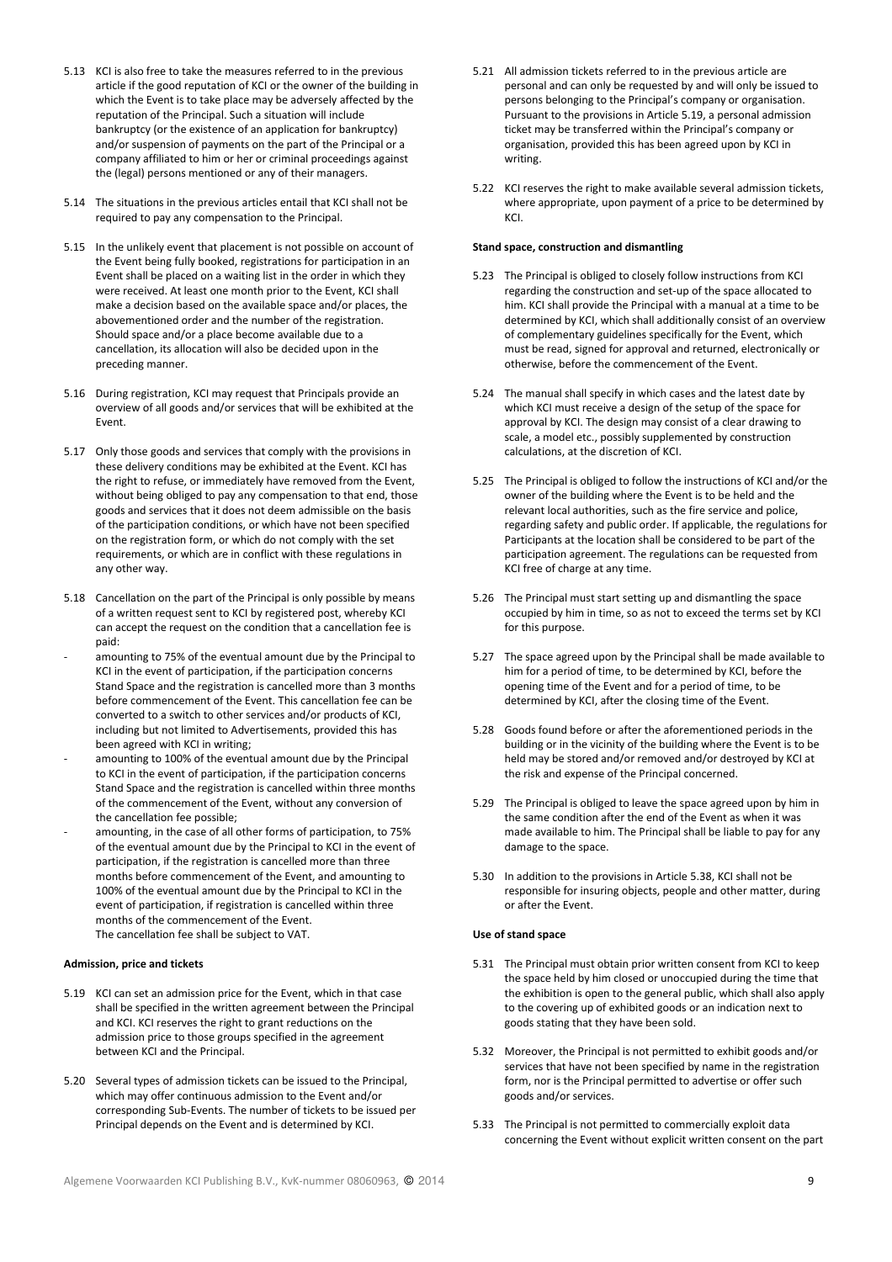- 5.13 KCI is also free to take the measures referred to in the previous article if the good reputation of KCI or the owner of the building in which the Event is to take place may be adversely affected by the reputation of the Principal. Such a situation will include bankruptcy (or the existence of an application for bankruptcy) and/or suspension of payments on the part of the Principal or a company affiliated to him or her or criminal proceedings against the (legal) persons mentioned or any of their managers.
- 5.14 The situations in the previous articles entail that KCI shall not be required to pay any compensation to the Principal.
- 5.15 In the unlikely event that placement is not possible on account of the Event being fully booked, registrations for participation in an Event shall be placed on a waiting list in the order in which they were received. At least one month prior to the Event, KCI shall make a decision based on the available space and/or places, the abovementioned order and the number of the registration. Should space and/or a place become available due to a cancellation, its allocation will also be decided upon in the preceding manner.
- 5.16 During registration, KCI may request that Principals provide an overview of all goods and/or services that will be exhibited at the Event.
- 5.17 Only those goods and services that comply with the provisions in these delivery conditions may be exhibited at the Event. KCI has the right to refuse, or immediately have removed from the Event, without being obliged to pay any compensation to that end, those goods and services that it does not deem admissible on the basis of the participation conditions, or which have not been specified on the registration form, or which do not comply with the set requirements, or which are in conflict with these regulations in any other way.
- 5.18 Cancellation on the part of the Principal is only possible by means of a written request sent to KCI by registered post, whereby KCI can accept the request on the condition that a cancellation fee is paid:
- amounting to 75% of the eventual amount due by the Principal to KCI in the event of participation, if the participation concerns Stand Space and the registration is cancelled more than 3 months before commencement of the Event. This cancellation fee can be converted to a switch to other services and/or products of KCI, including but not limited to Advertisements, provided this has been agreed with KCI in writing;
- amounting to 100% of the eventual amount due by the Principal to KCI in the event of participation, if the participation concerns Stand Space and the registration is cancelled within three months of the commencement of the Event, without any conversion of the cancellation fee possible;
- amounting, in the case of all other forms of participation, to 75% of the eventual amount due by the Principal to KCI in the event of participation, if the registration is cancelled more than three months before commencement of the Event, and amounting to 100% of the eventual amount due by the Principal to KCI in the event of participation, if registration is cancelled within three months of the commencement of the Event. The cancellation fee shall be subject to VAT.

# Admission, price and tickets

- 5.19 KCI can set an admission price for the Event, which in that case shall be specified in the written agreement between the Principal and KCI. KCI reserves the right to grant reductions on the admission price to those groups specified in the agreement between KCI and the Principal.
- 5.20 Several types of admission tickets can be issued to the Principal, which may offer continuous admission to the Event and/or corresponding Sub-Events. The number of tickets to be issued per Principal depends on the Event and is determined by KCI.
- 5.21 All admission tickets referred to in the previous article are personal and can only be requested by and will only be issued to persons belonging to the Principal's company or organisation. Pursuant to the provisions in Article 5.19, a personal admission ticket may be transferred within the Principal's company or organisation, provided this has been agreed upon by KCI in writing.
- 5.22 KCI reserves the right to make available several admission tickets, where appropriate, upon payment of a price to be determined by KCI.

### Stand space, construction and dismantling

- 5.23 The Principal is obliged to closely follow instructions from KCI regarding the construction and set-up of the space allocated to him. KCI shall provide the Principal with a manual at a time to be determined by KCI, which shall additionally consist of an overview of complementary guidelines specifically for the Event, which must be read, signed for approval and returned, electronically or otherwise, before the commencement of the Event.
- 5.24 The manual shall specify in which cases and the latest date by which KCI must receive a design of the setup of the space for approval by KCI. The design may consist of a clear drawing to scale, a model etc., possibly supplemented by construction calculations, at the discretion of KCI.
- 5.25 The Principal is obliged to follow the instructions of KCI and/or the owner of the building where the Event is to be held and the relevant local authorities, such as the fire service and police, regarding safety and public order. If applicable, the regulations for Participants at the location shall be considered to be part of the participation agreement. The regulations can be requested from KCI free of charge at any time.
- 5.26 The Principal must start setting up and dismantling the space occupied by him in time, so as not to exceed the terms set by KCI for this purpose.
- 5.27 The space agreed upon by the Principal shall be made available to him for a period of time, to be determined by KCI, before the opening time of the Event and for a period of time, to be determined by KCI, after the closing time of the Event.
- 5.28 Goods found before or after the aforementioned periods in the building or in the vicinity of the building where the Event is to be held may be stored and/or removed and/or destroyed by KCI at the risk and expense of the Principal concerned.
- 5.29 The Principal is obliged to leave the space agreed upon by him in the same condition after the end of the Event as when it was made available to him. The Principal shall be liable to pay for any damage to the space.
- 5.30 In addition to the provisions in Article 5.38, KCI shall not be responsible for insuring objects, people and other matter, during or after the Event.

# Use of stand space

- 5.31 The Principal must obtain prior written consent from KCI to keep the space held by him closed or unoccupied during the time that the exhibition is open to the general public, which shall also apply to the covering up of exhibited goods or an indication next to goods stating that they have been sold.
- 5.32 Moreover, the Principal is not permitted to exhibit goods and/or services that have not been specified by name in the registration form, nor is the Principal permitted to advertise or offer such goods and/or services.
- 5.33 The Principal is not permitted to commercially exploit data concerning the Event without explicit written consent on the part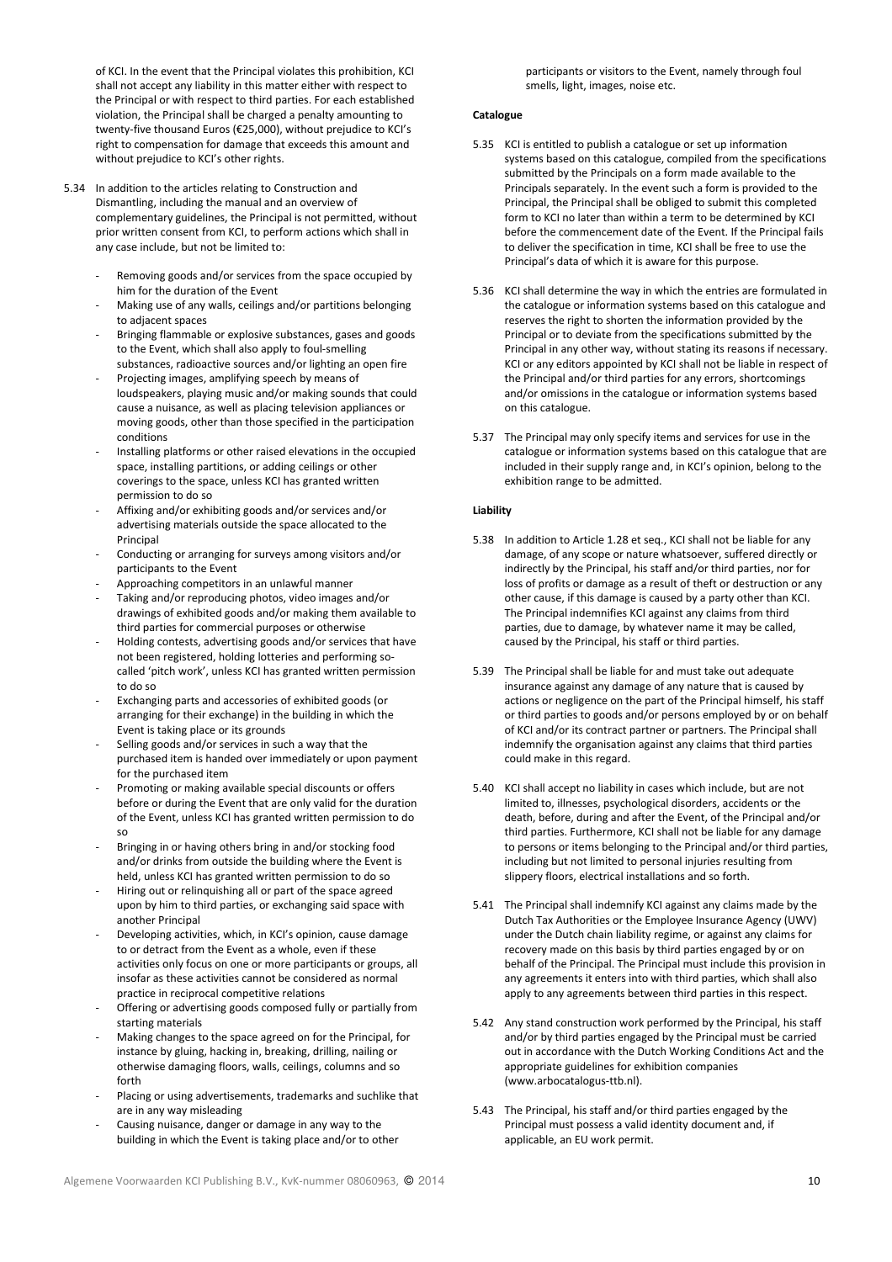of KCI. In the event that the Principal violates this prohibition, KCI shall not accept any liability in this matter either with respect to the Principal or with respect to third parties. For each established violation, the Principal shall be charged a penalty amounting to twenty-five thousand Euros (€25,000), without prejudice to KCI's right to compensation for damage that exceeds this amount and without prejudice to KCI's other rights.

- 5.34 In addition to the articles relating to Construction and Dismantling, including the manual and an overview of complementary guidelines, the Principal is not permitted, without prior written consent from KCI, to perform actions which shall in any case include, but not be limited to:
	- Removing goods and/or services from the space occupied by him for the duration of the Event
	- Making use of any walls, ceilings and/or partitions belonging to adjacent spaces
	- Bringing flammable or explosive substances, gases and goods to the Event, which shall also apply to foul-smelling substances, radioactive sources and/or lighting an open fire
	- Projecting images, amplifying speech by means of loudspeakers, playing music and/or making sounds that could cause a nuisance, as well as placing television appliances or moving goods, other than those specified in the participation conditions
	- Installing platforms or other raised elevations in the occupied space, installing partitions, or adding ceilings or other coverings to the space, unless KCI has granted written permission to do so
	- Affixing and/or exhibiting goods and/or services and/or advertising materials outside the space allocated to the **Principal**
	- Conducting or arranging for surveys among visitors and/or participants to the Event
	- Approaching competitors in an unlawful manner
	- Taking and/or reproducing photos, video images and/or drawings of exhibited goods and/or making them available to third parties for commercial purposes or otherwise
	- Holding contests, advertising goods and/or services that have not been registered, holding lotteries and performing socalled 'pitch work', unless KCI has granted written permission to do so
	- Exchanging parts and accessories of exhibited goods (or arranging for their exchange) in the building in which the Event is taking place or its grounds
	- Selling goods and/or services in such a way that the purchased item is handed over immediately or upon payment for the purchased item
	- Promoting or making available special discounts or offers before or during the Event that are only valid for the duration of the Event, unless KCI has granted written permission to do so
	- Bringing in or having others bring in and/or stocking food and/or drinks from outside the building where the Event is held, unless KCI has granted written permission to do so
	- Hiring out or relinquishing all or part of the space agreed upon by him to third parties, or exchanging said space with another Principal
	- Developing activities, which, in KCI's opinion, cause damage to or detract from the Event as a whole, even if these activities only focus on one or more participants or groups, all insofar as these activities cannot be considered as normal practice in reciprocal competitive relations
	- Offering or advertising goods composed fully or partially from starting materials
	- Making changes to the space agreed on for the Principal, for instance by gluing, hacking in, breaking, drilling, nailing or otherwise damaging floors, walls, ceilings, columns and so forth
	- Placing or using advertisements, trademarks and suchlike that are in any way misleading
	- Causing nuisance, danger or damage in any way to the building in which the Event is taking place and/or to other

participants or visitors to the Event, namely through foul smells, light, images, noise etc.

# **Catalogue**

- 5.35 KCI is entitled to publish a catalogue or set up information systems based on this catalogue, compiled from the specifications submitted by the Principals on a form made available to the Principals separately. In the event such a form is provided to the Principal, the Principal shall be obliged to submit this completed form to KCI no later than within a term to be determined by KCI before the commencement date of the Event. If the Principal fails to deliver the specification in time, KCI shall be free to use the Principal's data of which it is aware for this purpose.
- 5.36 KCI shall determine the way in which the entries are formulated in the catalogue or information systems based on this catalogue and reserves the right to shorten the information provided by the Principal or to deviate from the specifications submitted by the Principal in any other way, without stating its reasons if necessary. KCI or any editors appointed by KCI shall not be liable in respect of the Principal and/or third parties for any errors, shortcomings and/or omissions in the catalogue or information systems based on this catalogue.
- 5.37 The Principal may only specify items and services for use in the catalogue or information systems based on this catalogue that are included in their supply range and, in KCI's opinion, belong to the exhibition range to be admitted.

# Liability

- 5.38 In addition to Article 1.28 et seq., KCI shall not be liable for any damage, of any scope or nature whatsoever, suffered directly or indirectly by the Principal, his staff and/or third parties, nor for loss of profits or damage as a result of theft or destruction or any other cause, if this damage is caused by a party other than KCI. The Principal indemnifies KCI against any claims from third parties, due to damage, by whatever name it may be called, caused by the Principal, his staff or third parties.
- 5.39 The Principal shall be liable for and must take out adequate insurance against any damage of any nature that is caused by actions or negligence on the part of the Principal himself, his staff or third parties to goods and/or persons employed by or on behalf of KCI and/or its contract partner or partners. The Principal shall indemnify the organisation against any claims that third parties could make in this regard.
- 5.40 KCI shall accept no liability in cases which include, but are not limited to, illnesses, psychological disorders, accidents or the death, before, during and after the Event, of the Principal and/or third parties. Furthermore, KCI shall not be liable for any damage to persons or items belonging to the Principal and/or third parties, including but not limited to personal injuries resulting from slippery floors, electrical installations and so forth.
- 5.41 The Principal shall indemnify KCI against any claims made by the Dutch Tax Authorities or the Employee Insurance Agency (UWV) under the Dutch chain liability regime, or against any claims for recovery made on this basis by third parties engaged by or on behalf of the Principal. The Principal must include this provision in any agreements it enters into with third parties, which shall also apply to any agreements between third parties in this respect.
- 5.42 Any stand construction work performed by the Principal, his staff and/or by third parties engaged by the Principal must be carried out in accordance with the Dutch Working Conditions Act and the appropriate guidelines for exhibition companies (www.arbocatalogus-ttb.nl).
- 5.43 The Principal, his staff and/or third parties engaged by the Principal must possess a valid identity document and, if applicable, an EU work permit.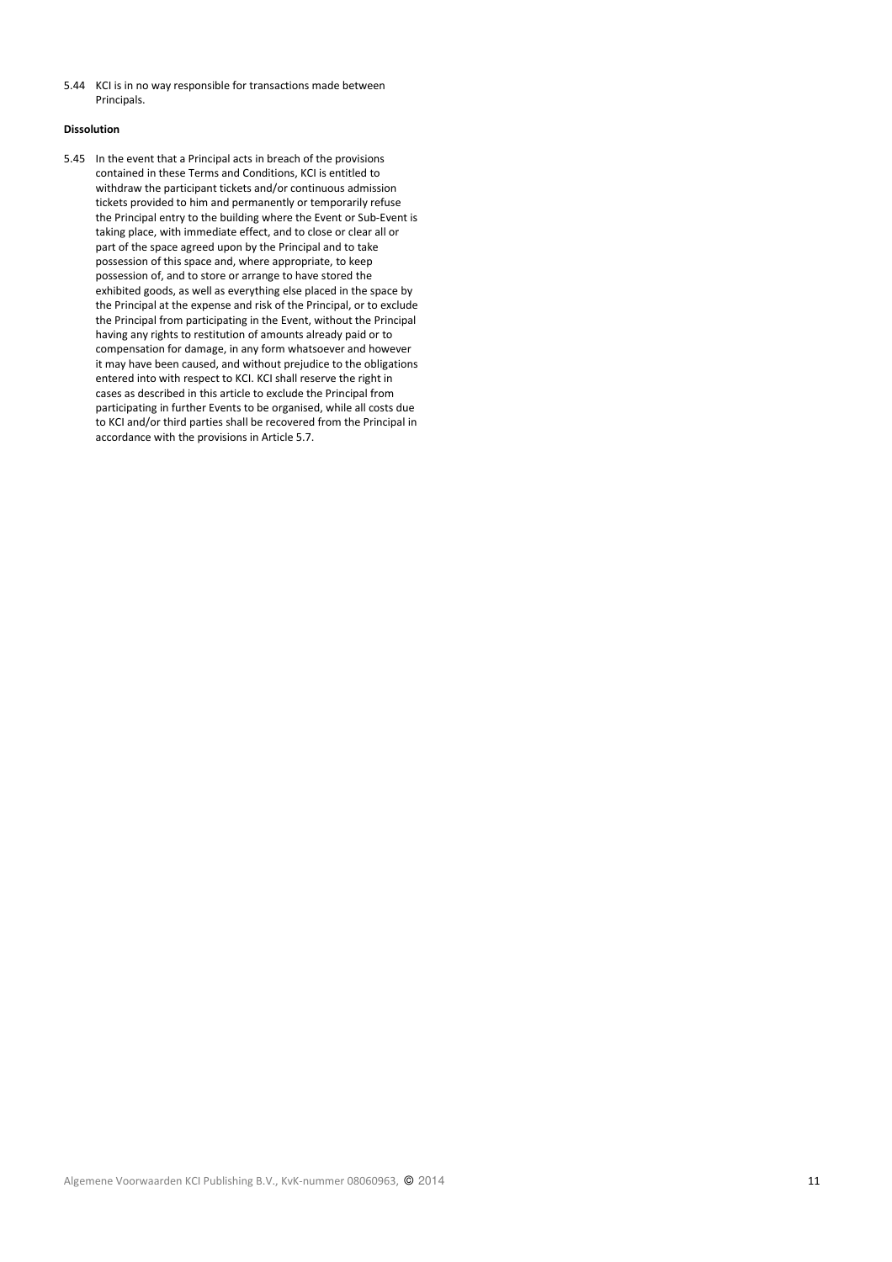5.44 KCI is in no way responsible for transactions made between Principals.

# Dissolution

5.45 In the event that a Principal acts in breach of the provisions contained in these Terms and Conditions, KCI is entitled to withdraw the participant tickets and/or continuous admission tickets provided to him and permanently or temporarily refuse the Principal entry to the building where the Event or Sub-Event is taking place, with immediate effect, and to close or clear all or part of the space agreed upon by the Principal and to take possession of this space and, where appropriate, to keep possession of, and to store or arrange to have stored the exhibited goods, as well as everything else placed in the space by the Principal at the expense and risk of the Principal, or to exclude the Principal from participating in the Event, without the Principal having any rights to restitution of amounts already paid or to compensation for damage, in any form whatsoever and however it may have been caused, and without prejudice to the obligations entered into with respect to KCI. KCI shall reserve the right in cases as described in this article to exclude the Principal from participating in further Events to be organised, while all costs due to KCI and/or third parties shall be recovered from the Principal in accordance with the provisions in Article 5.7.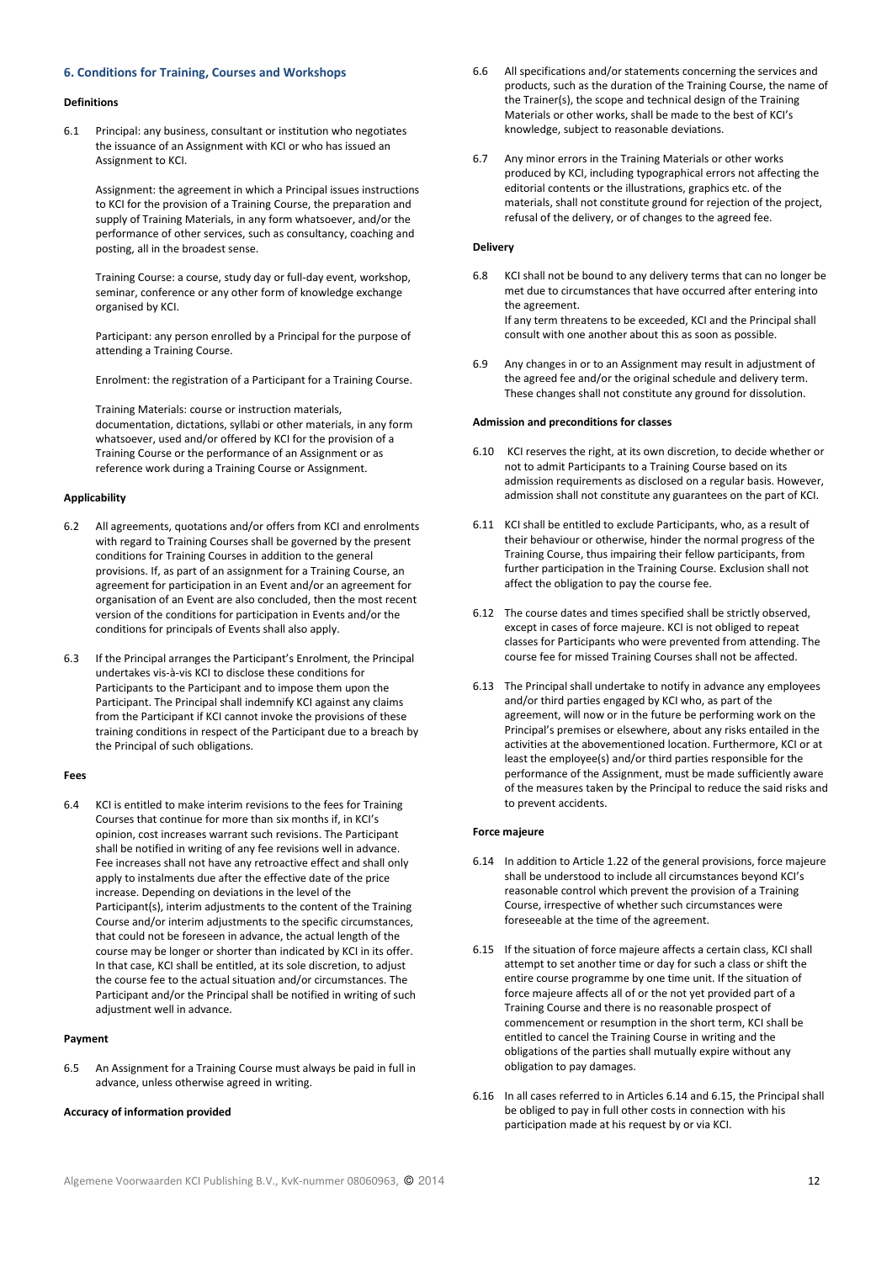# 6. Conditions for Training, Courses and Workshops

#### Definitions

6.1 Principal: any business, consultant or institution who negotiates the issuance of an Assignment with KCI or who has issued an Assignment to KCI.

Assignment: the agreement in which a Principal issues instructions to KCI for the provision of a Training Course, the preparation and supply of Training Materials, in any form whatsoever, and/or the performance of other services, such as consultancy, coaching and posting, all in the broadest sense.

Training Course: a course, study day or full-day event, workshop, seminar, conference or any other form of knowledge exchange organised by KCI.

Participant: any person enrolled by a Principal for the purpose of attending a Training Course.

Enrolment: the registration of a Participant for a Training Course.

Training Materials: course or instruction materials, documentation, dictations, syllabi or other materials, in any form whatsoever, used and/or offered by KCI for the provision of a Training Course or the performance of an Assignment or as reference work during a Training Course or Assignment.

### Applicability

- 6.2 All agreements, quotations and/or offers from KCI and enrolments with regard to Training Courses shall be governed by the present conditions for Training Courses in addition to the general provisions. If, as part of an assignment for a Training Course, an agreement for participation in an Event and/or an agreement for organisation of an Event are also concluded, then the most recent version of the conditions for participation in Events and/or the conditions for principals of Events shall also apply.
- 6.3 If the Principal arranges the Participant's Enrolment, the Principal undertakes vis-à-vis KCI to disclose these conditions for Participants to the Participant and to impose them upon the Participant. The Principal shall indemnify KCI against any claims from the Participant if KCI cannot invoke the provisions of these training conditions in respect of the Participant due to a breach by the Principal of such obligations.

#### Fees

6.4 KCI is entitled to make interim revisions to the fees for Training Courses that continue for more than six months if, in KCI's opinion, cost increases warrant such revisions. The Participant shall be notified in writing of any fee revisions well in advance. Fee increases shall not have any retroactive effect and shall only apply to instalments due after the effective date of the price increase. Depending on deviations in the level of the Participant(s), interim adjustments to the content of the Training Course and/or interim adjustments to the specific circumstances, that could not be foreseen in advance, the actual length of the course may be longer or shorter than indicated by KCI in its offer. In that case, KCI shall be entitled, at its sole discretion, to adjust the course fee to the actual situation and/or circumstances. The Participant and/or the Principal shall be notified in writing of such adjustment well in advance.

# Payment

6.5 An Assignment for a Training Course must always be paid in full in advance, unless otherwise agreed in writing.

# Accuracy of information provided

- 6.6 All specifications and/or statements concerning the services and products, such as the duration of the Training Course, the name of the Trainer(s), the scope and technical design of the Training Materials or other works, shall be made to the best of KCI's knowledge, subject to reasonable deviations.
- 6.7 Any minor errors in the Training Materials or other works produced by KCI, including typographical errors not affecting the editorial contents or the illustrations, graphics etc. of the materials, shall not constitute ground for rejection of the project, refusal of the delivery, or of changes to the agreed fee.

#### Delivery

- 6.8 KCI shall not be bound to any delivery terms that can no longer be met due to circumstances that have occurred after entering into the agreement. If any term threatens to be exceeded, KCI and the Principal shall consult with one another about this as soon as possible.
- 6.9 Any changes in or to an Assignment may result in adjustment of the agreed fee and/or the original schedule and delivery term. These changes shall not constitute any ground for dissolution.

# Admission and preconditions for classes

- 6.10 KCI reserves the right, at its own discretion, to decide whether or not to admit Participants to a Training Course based on its admission requirements as disclosed on a regular basis. However, admission shall not constitute any guarantees on the part of KCI.
- 6.11 KCI shall be entitled to exclude Participants, who, as a result of their behaviour or otherwise, hinder the normal progress of the Training Course, thus impairing their fellow participants, from further participation in the Training Course. Exclusion shall not affect the obligation to pay the course fee.
- 6.12 The course dates and times specified shall be strictly observed, except in cases of force majeure. KCI is not obliged to repeat classes for Participants who were prevented from attending. The course fee for missed Training Courses shall not be affected.
- 6.13 The Principal shall undertake to notify in advance any employees and/or third parties engaged by KCI who, as part of the agreement, will now or in the future be performing work on the Principal's premises or elsewhere, about any risks entailed in the activities at the abovementioned location. Furthermore, KCI or at least the employee(s) and/or third parties responsible for the performance of the Assignment, must be made sufficiently aware of the measures taken by the Principal to reduce the said risks and to prevent accidents.

# Force majeure

- 6.14 In addition to Article 1.22 of the general provisions, force majeure shall be understood to include all circumstances beyond KCI's reasonable control which prevent the provision of a Training Course, irrespective of whether such circumstances were foreseeable at the time of the agreement.
- 6.15 If the situation of force majeure affects a certain class, KCI shall attempt to set another time or day for such a class or shift the entire course programme by one time unit. If the situation of force majeure affects all of or the not yet provided part of a Training Course and there is no reasonable prospect of commencement or resumption in the short term, KCI shall be entitled to cancel the Training Course in writing and the obligations of the parties shall mutually expire without any obligation to pay damages.
- 6.16 In all cases referred to in Articles 6.14 and 6.15, the Principal shall be obliged to pay in full other costs in connection with his participation made at his request by or via KCI.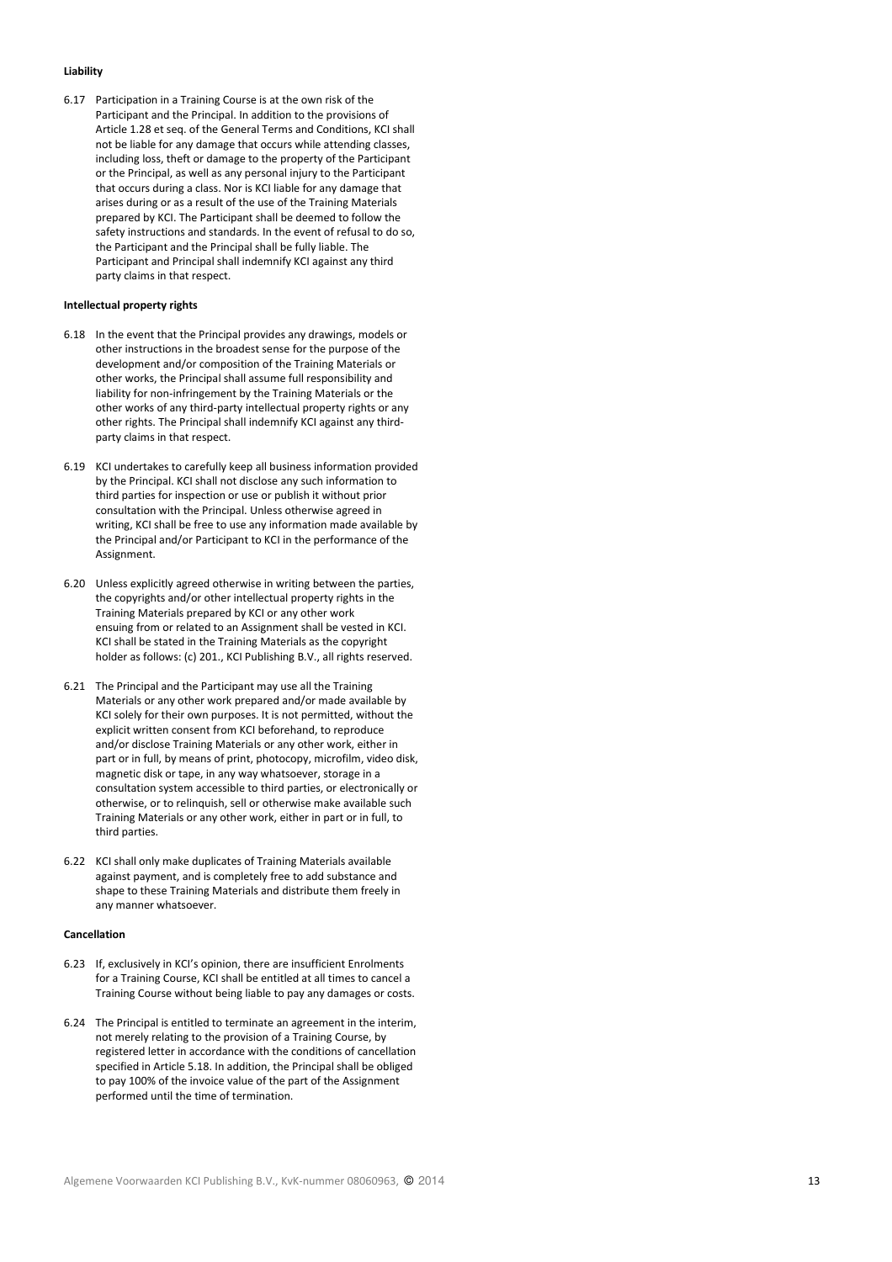# Liability

6.17 Participation in a Training Course is at the own risk of the Participant and the Principal. In addition to the provisions of Article 1.28 et seq. of the General Terms and Conditions, KCI shall not be liable for any damage that occurs while attending classes, including loss, theft or damage to the property of the Participant or the Principal, as well as any personal injury to the Participant that occurs during a class. Nor is KCI liable for any damage that arises during or as a result of the use of the Training Materials prepared by KCI. The Participant shall be deemed to follow the safety instructions and standards. In the event of refusal to do so, the Participant and the Principal shall be fully liable. The Participant and Principal shall indemnify KCI against any third party claims in that respect.

# Intellectual property rights

- 6.18 In the event that the Principal provides any drawings, models or other instructions in the broadest sense for the purpose of the development and/or composition of the Training Materials or other works, the Principal shall assume full responsibility and liability for non-infringement by the Training Materials or the other works of any third-party intellectual property rights or any other rights. The Principal shall indemnify KCI against any thirdparty claims in that respect.
- 6.19 KCI undertakes to carefully keep all business information provided by the Principal. KCI shall not disclose any such information to third parties for inspection or use or publish it without prior consultation with the Principal. Unless otherwise agreed in writing, KCI shall be free to use any information made available by the Principal and/or Participant to KCI in the performance of the Assignment.
- 6.20 Unless explicitly agreed otherwise in writing between the parties, the copyrights and/or other intellectual property rights in the Training Materials prepared by KCI or any other work ensuing from or related to an Assignment shall be vested in KCI. KCI shall be stated in the Training Materials as the copyright holder as follows: (c) 201., KCI Publishing B.V., all rights reserved.
- 6.21 The Principal and the Participant may use all the Training Materials or any other work prepared and/or made available by KCI solely for their own purposes. It is not permitted, without the explicit written consent from KCI beforehand, to reproduce and/or disclose Training Materials or any other work, either in part or in full, by means of print, photocopy, microfilm, video disk, magnetic disk or tape, in any way whatsoever, storage in a consultation system accessible to third parties, or electronically or otherwise, or to relinquish, sell or otherwise make available such Training Materials or any other work, either in part or in full, to third parties.
- 6.22 KCI shall only make duplicates of Training Materials available against payment, and is completely free to add substance and shape to these Training Materials and distribute them freely in any manner whatsoever.

### Cancellation

- 6.23 If, exclusively in KCI's opinion, there are insufficient Enrolments for a Training Course, KCI shall be entitled at all times to cancel a Training Course without being liable to pay any damages or costs.
- 6.24 The Principal is entitled to terminate an agreement in the interim, not merely relating to the provision of a Training Course, by registered letter in accordance with the conditions of cancellation specified in Article 5.18. In addition, the Principal shall be obliged to pay 100% of the invoice value of the part of the Assignment performed until the time of termination.